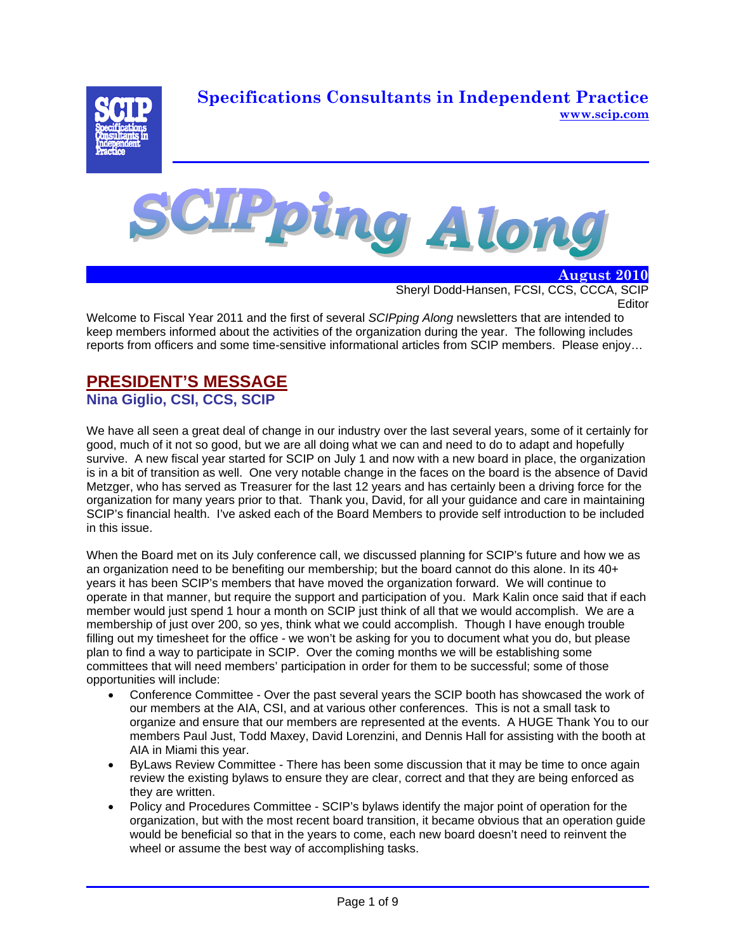**Specifications Consultants in Independent Practice www.scip.com**





 **August 2010** Sheryl Dodd-Hansen, FCSI, CCS, CCCA, SCIP Editor

Welcome to Fiscal Year 2011 and the first of several *SCIPping Along* newsletters that are intended to keep members informed about the activities of the organization during the year. The following includes reports from officers and some time-sensitive informational articles from SCIP members. Please enjoy…

## **PRESIDENT'S MESSAGE Nina Giglio, CSI, CCS, SCIP**

We have all seen a great deal of change in our industry over the last several years, some of it certainly for good, much of it not so good, but we are all doing what we can and need to do to adapt and hopefully survive. A new fiscal year started for SCIP on July 1 and now with a new board in place, the organization is in a bit of transition as well. One very notable change in the faces on the board is the absence of David Metzger, who has served as Treasurer for the last 12 years and has certainly been a driving force for the organization for many years prior to that. Thank you, David, for all your guidance and care in maintaining SCIP's financial health. I've asked each of the Board Members to provide self introduction to be included in this issue.

When the Board met on its July conference call, we discussed planning for SCIP's future and how we as an organization need to be benefiting our membership; but the board cannot do this alone. In its 40+ years it has been SCIP's members that have moved the organization forward. We will continue to operate in that manner, but require the support and participation of you. Mark Kalin once said that if each member would just spend 1 hour a month on SCIP just think of all that we would accomplish. We are a membership of just over 200, so yes, think what we could accomplish. Though I have enough trouble filling out my timesheet for the office - we won't be asking for you to document what you do, but please plan to find a way to participate in SCIP. Over the coming months we will be establishing some committees that will need members' participation in order for them to be successful; some of those opportunities will include:

- Conference Committee Over the past several years the SCIP booth has showcased the work of our members at the AIA, CSI, and at various other conferences. This is not a small task to organize and ensure that our members are represented at the events. A HUGE Thank You to our members Paul Just, Todd Maxey, David Lorenzini, and Dennis Hall for assisting with the booth at AIA in Miami this year.
- ByLaws Review Committee There has been some discussion that it may be time to once again review the existing bylaws to ensure they are clear, correct and that they are being enforced as they are written.
- Policy and Procedures Committee SCIP's bylaws identify the major point of operation for the organization, but with the most recent board transition, it became obvious that an operation guide would be beneficial so that in the years to come, each new board doesn't need to reinvent the wheel or assume the best way of accomplishing tasks.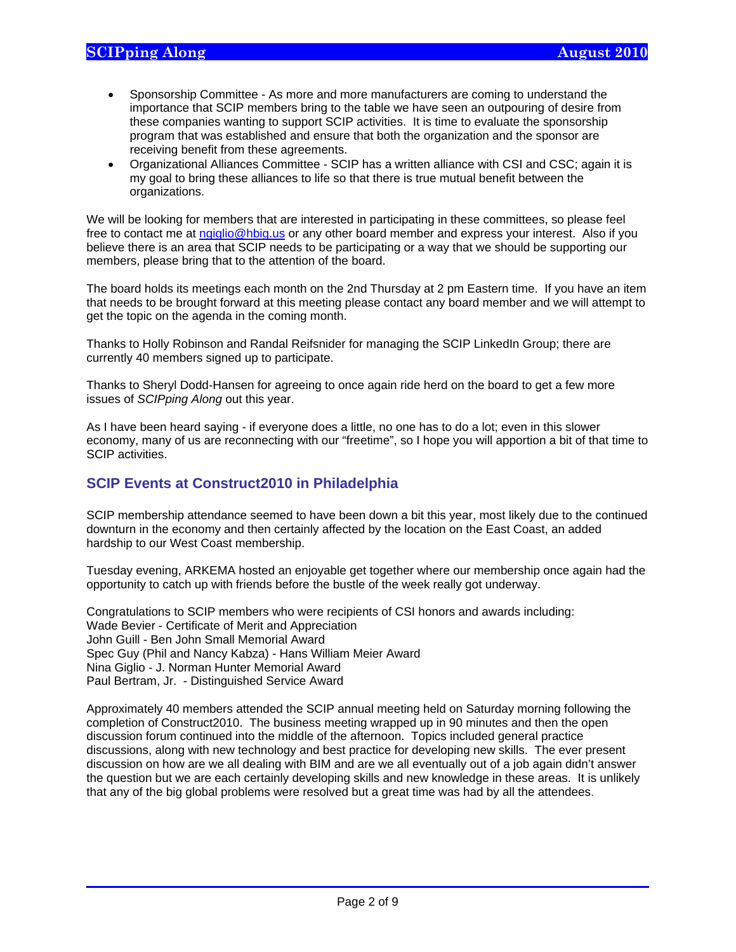$\overline{a}$ 

- Sponsorship Committee As more and more manufacturers are coming to understand the importance that SCIP members bring to the table we have seen an outpouring of desire from these companies wanting to support SCIP activities. It is time to evaluate the sponsorship program that was established and ensure that both the organization and the sponsor are receiving benefit from these agreements.
- Organizational Alliances Committee SCIP has a written alliance with CSI and CSC; again it is my goal to bring these alliances to life so that there is true mutual benefit between the organizations.

We will be looking for members that are interested in participating in these committees, so please feel free to contact me at ngiglio@hbig.us or any other board member and express your interest. Also if you believe there is an area that SCIP needs to be participating or a way that we should be supporting our members, please bring that to the attention of the board.

The board holds its meetings each month on the 2nd Thursday at 2 pm Eastern time. If you have an item that needs to be brought forward at this meeting please contact any board member and we will attempt to get the topic on the agenda in the coming month.

Thanks to Holly Robinson and Randal Reifsnider for managing the SCIP LinkedIn Group; there are currently 40 members signed up to participate.

Thanks to Sheryl Dodd-Hansen for agreeing to once again ride herd on the board to get a few more issues of *SCIPping Along* out this year.

As I have been heard saying - if everyone does a little, no one has to do a lot; even in this slower economy, many of us are reconnecting with our "freetime", so I hope you will apportion a bit of that time to SCIP activities.

### **SCIP Events at Construct2010 in Philadelphia**

SCIP membership attendance seemed to have been down a bit this year, most likely due to the continued downturn in the economy and then certainly affected by the location on the East Coast, an added hardship to our West Coast membership.

Tuesday evening, ARKEMA hosted an enjoyable get together where our membership once again had the opportunity to catch up with friends before the bustle of the week really got underway.

Congratulations to SCIP members who were recipients of CSI honors and awards including: Wade Bevier - Certificate of Merit and Appreciation John Guill - Ben John Small Memorial Award Spec Guy (Phil and Nancy Kabza) - Hans William Meier Award Nina Giglio - J. Norman Hunter Memorial Award Paul Bertram, Jr. - Distinguished Service Award

Approximately 40 members attended the SCIP annual meeting held on Saturday morning following the completion of Construct2010. The business meeting wrapped up in 90 minutes and then the open discussion forum continued into the middle of the afternoon. Topics included general practice discussions, along with new technology and best practice for developing new skills. The ever present discussion on how are we all dealing with BIM and are we all eventually out of a job again didn't answer the question but we are each certainly developing skills and new knowledge in these areas. It is unlikely that any of the big global problems were resolved but a great time was had by all the attendees.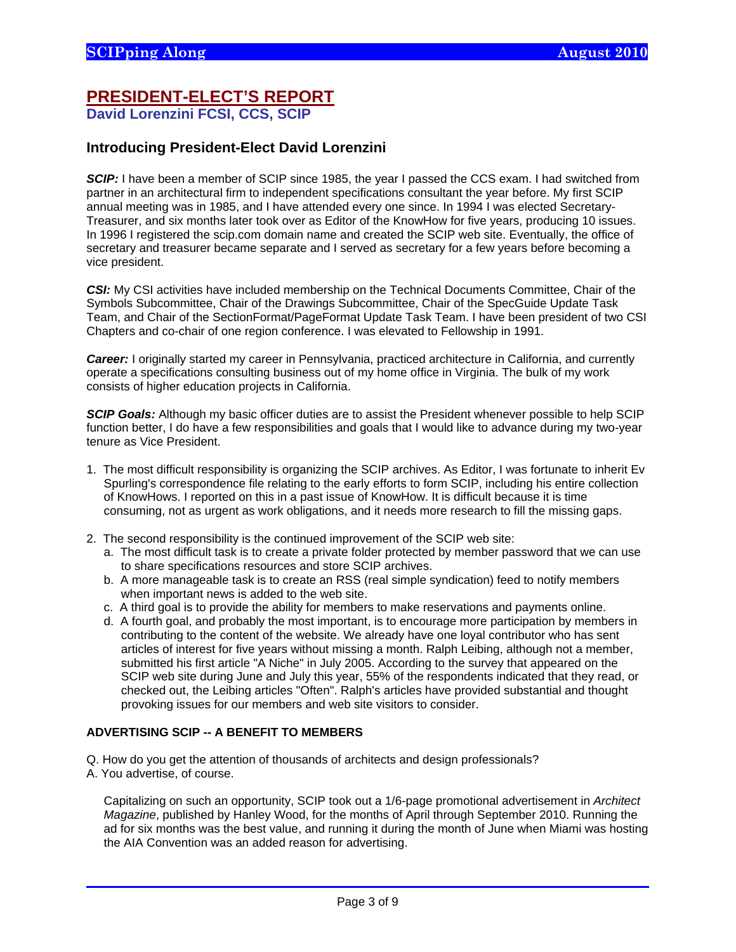### **PRESIDENT-ELECT'S REPORT David Lorenzini FCSI, CCS, SCIP**

### **Introducing President-Elect David Lorenzini**

**SCIP:** I have been a member of SCIP since 1985, the year I passed the CCS exam. I had switched from partner in an architectural firm to independent specifications consultant the year before. My first SCIP annual meeting was in 1985, and I have attended every one since. In 1994 I was elected Secretary-Treasurer, and six months later took over as Editor of the KnowHow for five years, producing 10 issues. In 1996 I registered the scip.com domain name and created the SCIP web site. Eventually, the office of secretary and treasurer became separate and I served as secretary for a few years before becoming a vice president.

**CSI:** My CSI activities have included membership on the Technical Documents Committee, Chair of the Symbols Subcommittee, Chair of the Drawings Subcommittee, Chair of the SpecGuide Update Task Team, and Chair of the SectionFormat/PageFormat Update Task Team. I have been president of two CSI Chapters and co-chair of one region conference. I was elevated to Fellowship in 1991.

**Career:** I originally started my career in Pennsylvania, practiced architecture in California, and currently operate a specifications consulting business out of my home office in Virginia. The bulk of my work consists of higher education projects in California.

*SCIP Goals:* Although my basic officer duties are to assist the President whenever possible to help SCIP function better, I do have a few responsibilities and goals that I would like to advance during my two-year tenure as Vice President.

- 1. The most difficult responsibility is organizing the SCIP archives. As Editor, I was fortunate to inherit Ev Spurling's correspondence file relating to the early efforts to form SCIP, including his entire collection of KnowHows. I reported on this in a past issue of KnowHow. It is difficult because it is time consuming, not as urgent as work obligations, and it needs more research to fill the missing gaps.
- 2. The second responsibility is the continued improvement of the SCIP web site:
	- a. The most difficult task is to create a private folder protected by member password that we can use to share specifications resources and store SCIP archives.
	- b. A more manageable task is to create an RSS (real simple syndication) feed to notify members when important news is added to the web site.
	- c. A third goal is to provide the ability for members to make reservations and payments online.
	- d. A fourth goal, and probably the most important, is to encourage more participation by members in contributing to the content of the website. We already have one loyal contributor who has sent articles of interest for five years without missing a month. Ralph Leibing, although not a member, submitted his first article "A Niche" in July 2005. According to the survey that appeared on the SCIP web site during June and July this year, 55% of the respondents indicated that they read, or checked out, the Leibing articles "Often". Ralph's articles have provided substantial and thought provoking issues for our members and web site visitors to consider.

#### **ADVERTISING SCIP -- A BENEFIT TO MEMBERS**

Q. How do you get the attention of thousands of architects and design professionals?

A. You advertise, of course.

 $\overline{a}$ 

 Capitalizing on such an opportunity, SCIP took out a 1/6-page promotional advertisement in *Architect Magazine*, published by Hanley Wood, for the months of April through September 2010. Running the ad for six months was the best value, and running it during the month of June when Miami was hosting the AIA Convention was an added reason for advertising.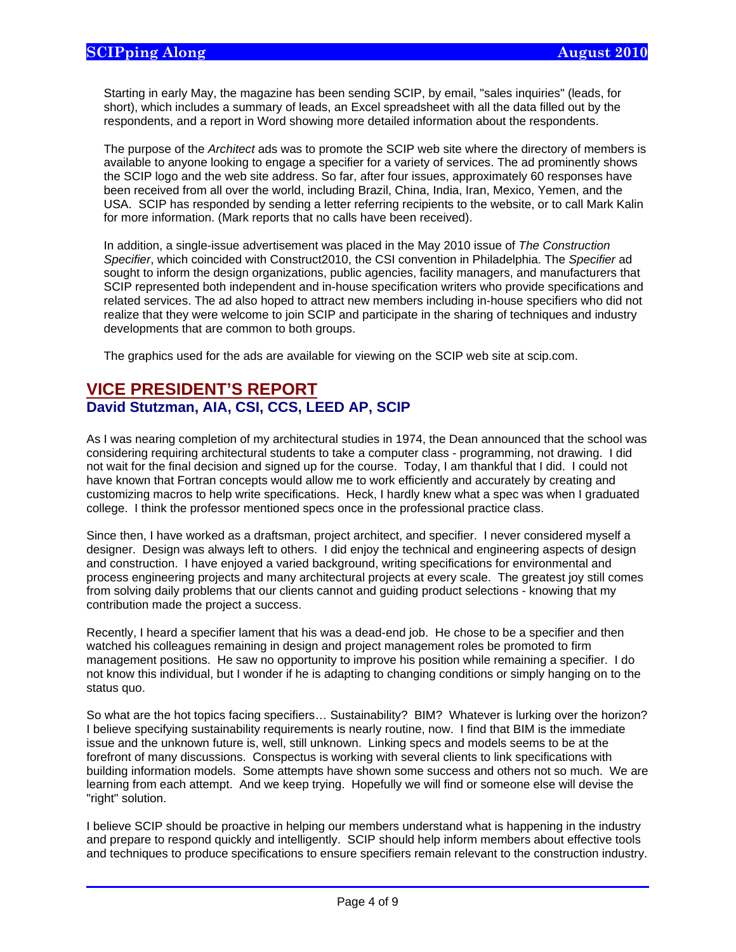$\overline{a}$ 

 Starting in early May, the magazine has been sending SCIP, by email, "sales inquiries" (leads, for short), which includes a summary of leads, an Excel spreadsheet with all the data filled out by the respondents, and a report in Word showing more detailed information about the respondents.

 The purpose of the *Architect* ads was to promote the SCIP web site where the directory of members is available to anyone looking to engage a specifier for a variety of services. The ad prominently shows the SCIP logo and the web site address. So far, after four issues, approximately 60 responses have been received from all over the world, including Brazil, China, India, Iran, Mexico, Yemen, and the USA. SCIP has responded by sending a letter referring recipients to the website, or to call Mark Kalin for more information. (Mark reports that no calls have been received).

 In addition, a single-issue advertisement was placed in the May 2010 issue of *The Construction Specifier*, which coincided with Construct2010, the CSI convention in Philadelphia. The *Specifier* ad sought to inform the design organizations, public agencies, facility managers, and manufacturers that SCIP represented both independent and in-house specification writers who provide specifications and related services. The ad also hoped to attract new members including in-house specifiers who did not realize that they were welcome to join SCIP and participate in the sharing of techniques and industry developments that are common to both groups.

The graphics used for the ads are available for viewing on the SCIP web site at scip.com.

### **VICE PRESIDENT'S REPORT David Stutzman, AIA, CSI, CCS, LEED AP, SCIP**

As I was nearing completion of my architectural studies in 1974, the Dean announced that the school was considering requiring architectural students to take a computer class - programming, not drawing. I did not wait for the final decision and signed up for the course. Today, I am thankful that I did. I could not have known that Fortran concepts would allow me to work efficiently and accurately by creating and customizing macros to help write specifications. Heck, I hardly knew what a spec was when I graduated college. I think the professor mentioned specs once in the professional practice class.

Since then, I have worked as a draftsman, project architect, and specifier. I never considered myself a designer. Design was always left to others. I did enjoy the technical and engineering aspects of design and construction. I have enjoyed a varied background, writing specifications for environmental and process engineering projects and many architectural projects at every scale. The greatest joy still comes from solving daily problems that our clients cannot and guiding product selections - knowing that my contribution made the project a success.

Recently, I heard a specifier lament that his was a dead-end job. He chose to be a specifier and then watched his colleagues remaining in design and project management roles be promoted to firm management positions. He saw no opportunity to improve his position while remaining a specifier. I do not know this individual, but I wonder if he is adapting to changing conditions or simply hanging on to the status quo.

So what are the hot topics facing specifiers… Sustainability? BIM? Whatever is lurking over the horizon? I believe specifying sustainability requirements is nearly routine, now. I find that BIM is the immediate issue and the unknown future is, well, still unknown. Linking specs and models seems to be at the forefront of many discussions. Conspectus is working with several clients to link specifications with building information models. Some attempts have shown some success and others not so much. We are learning from each attempt. And we keep trying. Hopefully we will find or someone else will devise the "right" solution.

I believe SCIP should be proactive in helping our members understand what is happening in the industry and prepare to respond quickly and intelligently. SCIP should help inform members about effective tools and techniques to produce specifications to ensure specifiers remain relevant to the construction industry.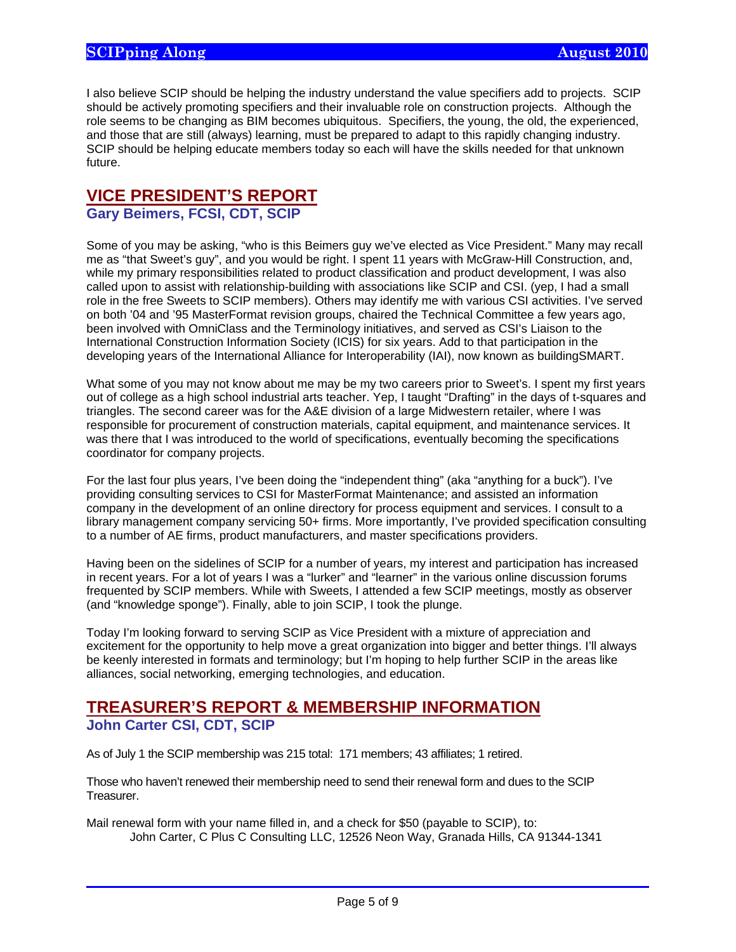I also believe SCIP should be helping the industry understand the value specifiers add to projects. SCIP should be actively promoting specifiers and their invaluable role on construction projects. Although the role seems to be changing as BIM becomes ubiquitous. Specifiers, the young, the old, the experienced, and those that are still (always) learning, must be prepared to adapt to this rapidly changing industry. SCIP should be helping educate members today so each will have the skills needed for that unknown future.

# **VICE PRESIDENT'S REPORT**

## **Gary Beimers, FCSI, CDT, SCIP**

Some of you may be asking, "who is this Beimers guy we've elected as Vice President." Many may recall me as "that Sweet's guy", and you would be right. I spent 11 years with McGraw-Hill Construction, and, while my primary responsibilities related to product classification and product development, I was also called upon to assist with relationship-building with associations like SCIP and CSI. (yep, I had a small role in the free Sweets to SCIP members). Others may identify me with various CSI activities. I've served on both '04 and '95 MasterFormat revision groups, chaired the Technical Committee a few years ago, been involved with OmniClass and the Terminology initiatives, and served as CSI's Liaison to the International Construction Information Society (ICIS) for six years. Add to that participation in the developing years of the International Alliance for Interoperability (IAI), now known as buildingSMART.

What some of you may not know about me may be my two careers prior to Sweet's. I spent my first years out of college as a high school industrial arts teacher. Yep, I taught "Drafting" in the days of t-squares and triangles. The second career was for the A&E division of a large Midwestern retailer, where I was responsible for procurement of construction materials, capital equipment, and maintenance services. It was there that I was introduced to the world of specifications, eventually becoming the specifications coordinator for company projects.

For the last four plus years, I've been doing the "independent thing" (aka "anything for a buck"). I've providing consulting services to CSI for MasterFormat Maintenance; and assisted an information company in the development of an online directory for process equipment and services. I consult to a library management company servicing 50+ firms. More importantly, I've provided specification consulting to a number of AE firms, product manufacturers, and master specifications providers.

Having been on the sidelines of SCIP for a number of years, my interest and participation has increased in recent years. For a lot of years I was a "lurker" and "learner" in the various online discussion forums frequented by SCIP members. While with Sweets, I attended a few SCIP meetings, mostly as observer (and "knowledge sponge"). Finally, able to join SCIP, I took the plunge.

Today I'm looking forward to serving SCIP as Vice President with a mixture of appreciation and excitement for the opportunity to help move a great organization into bigger and better things. I'll always be keenly interested in formats and terminology; but I'm hoping to help further SCIP in the areas like alliances, social networking, emerging technologies, and education.

## **TREASURER'S REPORT & MEMBERSHIP INFORMATION John Carter CSI, CDT, SCIP**

 $\overline{a}$ 

As of July 1 the SCIP membership was 215 total: 171 members; 43 affiliates; 1 retired.

Those who haven't renewed their membership need to send their renewal form and dues to the SCIP Treasurer.

Mail renewal form with your name filled in, and a check for \$50 (payable to SCIP), to: John Carter, C Plus C Consulting LLC, 12526 Neon Way, Granada Hills, CA 91344-1341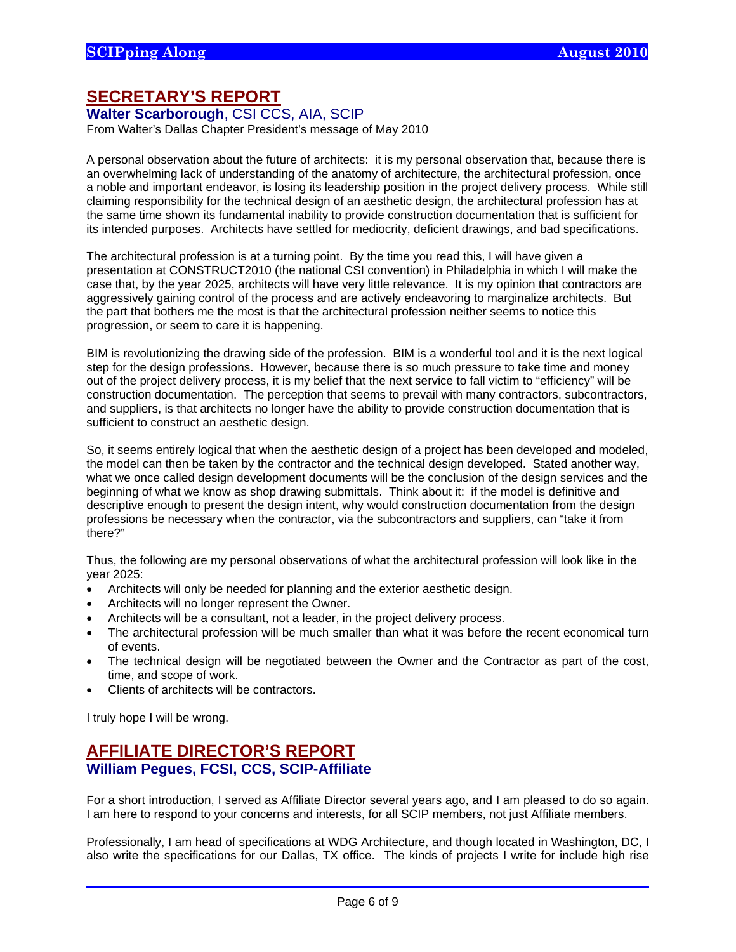## **SECRETARY'S REPORT**

#### **Walter Scarborough**, CSI CCS, AIA, SCIP

From Walter's Dallas Chapter President's message of May 2010

A personal observation about the future of architects: it is my personal observation that, because there is an overwhelming lack of understanding of the anatomy of architecture, the architectural profession, once a noble and important endeavor, is losing its leadership position in the project delivery process. While still claiming responsibility for the technical design of an aesthetic design, the architectural profession has at the same time shown its fundamental inability to provide construction documentation that is sufficient for its intended purposes. Architects have settled for mediocrity, deficient drawings, and bad specifications.

The architectural profession is at a turning point. By the time you read this, I will have given a presentation at CONSTRUCT2010 (the national CSI convention) in Philadelphia in which I will make the case that, by the year 2025, architects will have very little relevance. It is my opinion that contractors are aggressively gaining control of the process and are actively endeavoring to marginalize architects. But the part that bothers me the most is that the architectural profession neither seems to notice this progression, or seem to care it is happening.

BIM is revolutionizing the drawing side of the profession. BIM is a wonderful tool and it is the next logical step for the design professions. However, because there is so much pressure to take time and money out of the project delivery process, it is my belief that the next service to fall victim to "efficiency" will be construction documentation. The perception that seems to prevail with many contractors, subcontractors, and suppliers, is that architects no longer have the ability to provide construction documentation that is sufficient to construct an aesthetic design.

So, it seems entirely logical that when the aesthetic design of a project has been developed and modeled, the model can then be taken by the contractor and the technical design developed. Stated another way, what we once called design development documents will be the conclusion of the design services and the beginning of what we know as shop drawing submittals. Think about it: if the model is definitive and descriptive enough to present the design intent, why would construction documentation from the design professions be necessary when the contractor, via the subcontractors and suppliers, can "take it from there?"

Thus, the following are my personal observations of what the architectural profession will look like in the year 2025:

- Architects will only be needed for planning and the exterior aesthetic design.
- Architects will no longer represent the Owner.
- Architects will be a consultant, not a leader, in the project delivery process.
- The architectural profession will be much smaller than what it was before the recent economical turn of events.
- The technical design will be negotiated between the Owner and the Contractor as part of the cost, time, and scope of work.
- Clients of architects will be contractors.

I truly hope I will be wrong.

 $\overline{a}$ 

## **AFFILIATE DIRECTOR'S REPORT William Pegues, FCSI, CCS, SCIP-Affiliate**

For a short introduction, I served as Affiliate Director several years ago, and I am pleased to do so again. I am here to respond to your concerns and interests, for all SCIP members, not just Affiliate members.

Professionally, I am head of specifications at WDG Architecture, and though located in Washington, DC, I also write the specifications for our Dallas, TX office. The kinds of projects I write for include high rise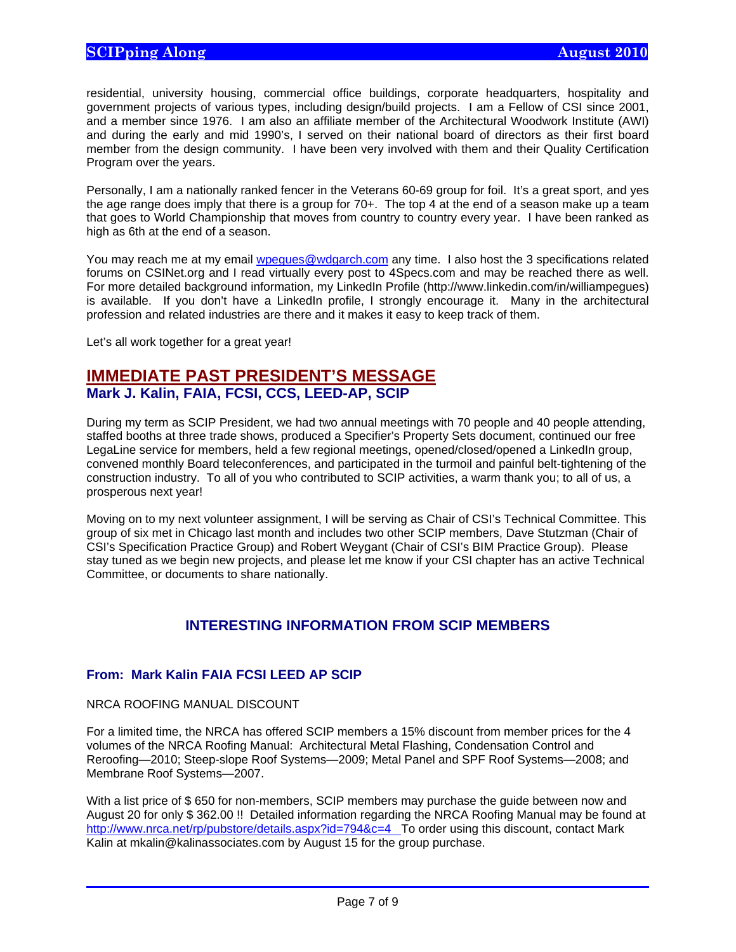residential, university housing, commercial office buildings, corporate headquarters, hospitality and government projects of various types, including design/build projects. I am a Fellow of CSI since 2001, and a member since 1976. I am also an affiliate member of the Architectural Woodwork Institute (AWI) and during the early and mid 1990's, I served on their national board of directors as their first board member from the design community. I have been very involved with them and their Quality Certification Program over the years.

Personally, I am a nationally ranked fencer in the Veterans 60-69 group for foil. It's a great sport, and yes the age range does imply that there is a group for 70+. The top 4 at the end of a season make up a team that goes to World Championship that moves from country to country every year. I have been ranked as high as 6th at the end of a season.

You may reach me at my email wpegues@wdgarch.com any time. I also host the 3 specifications related forums on CSINet.org and I read virtually every post to 4Specs.com and may be reached there as well. For more detailed background information, my LinkedIn Profile (http://www.linkedin.com/in/williampegues) is available. If you don't have a LinkedIn profile, I strongly encourage it. Many in the architectural profession and related industries are there and it makes it easy to keep track of them.

Let's all work together for a great year!

## **IMMEDIATE PAST PRESIDENT'S MESSAGE Mark J. Kalin, FAIA, FCSI, CCS, LEED-AP, SCIP**

During my term as SCIP President, we had two annual meetings with 70 people and 40 people attending, staffed booths at three trade shows, produced a Specifier's Property Sets document, continued our free LegaLine service for members, held a few regional meetings, opened/closed/opened a LinkedIn group, convened monthly Board teleconferences, and participated in the turmoil and painful belt-tightening of the construction industry. To all of you who contributed to SCIP activities, a warm thank you; to all of us, a prosperous next year!

Moving on to my next volunteer assignment, I will be serving as Chair of CSI's Technical Committee. This group of six met in Chicago last month and includes two other SCIP members, Dave Stutzman (Chair of CSI's Specification Practice Group) and Robert Weygant (Chair of CSI's BIM Practice Group). Please stay tuned as we begin new projects, and please let me know if your CSI chapter has an active Technical Committee, or documents to share nationally.

### **INTERESTING INFORMATION FROM SCIP MEMBERS**

#### **From: Mark Kalin FAIA FCSI LEED AP SCIP**

NRCA ROOFING MANUAL DISCOUNT

 $\overline{a}$ 

For a limited time, the NRCA has offered SCIP members a 15% discount from member prices for the 4 volumes of the NRCA Roofing Manual: Architectural Metal Flashing, Condensation Control and Reroofing—2010; Steep-slope Roof Systems—2009; Metal Panel and SPF Roof Systems—2008; and Membrane Roof Systems—2007.

With a list price of \$ 650 for non-members, SCIP members may purchase the guide between now and August 20 for only \$ 362.00 !! Detailed information regarding the NRCA Roofing Manual may be found at http://www.nrca.net/rp/pubstore/details.aspx?id=794&c=4 To order using this discount, contact Mark Kalin at mkalin@kalinassociates.com by August 15 for the group purchase.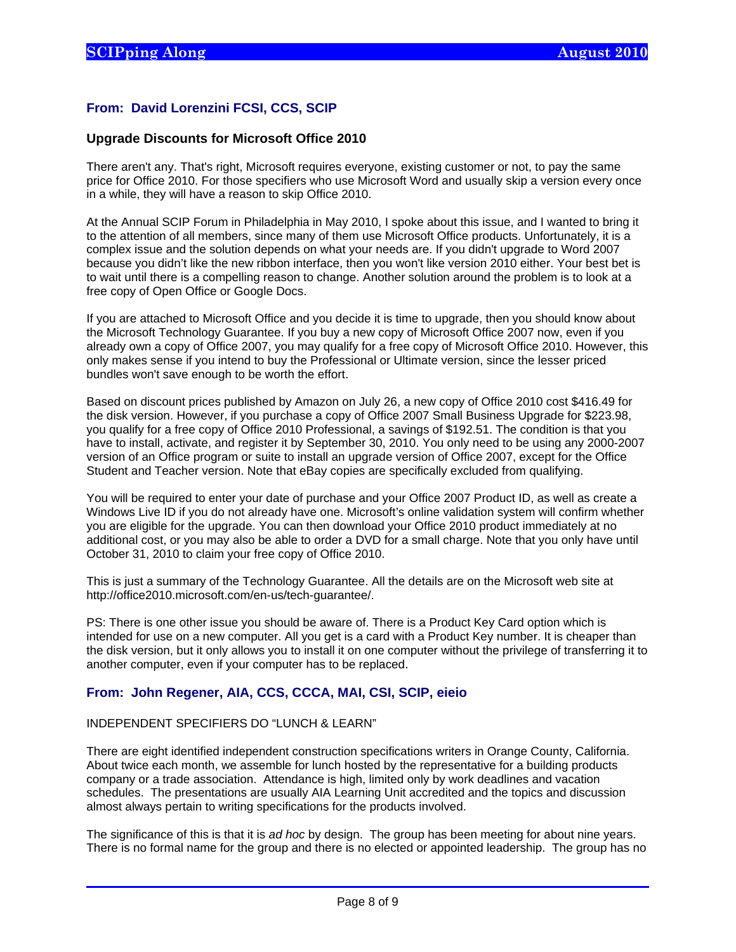#### **From: David Lorenzini FCSI, CCS, SCIP**

#### **Upgrade Discounts for Microsoft Office 2010**

There aren't any. That's right, Microsoft requires everyone, existing customer or not, to pay the same price for Office 2010. For those specifiers who use Microsoft Word and usually skip a version every once in a while, they will have a reason to skip Office 2010.

At the Annual SCIP Forum in Philadelphia in May 2010, I spoke about this issue, and I wanted to bring it to the attention of all members, since many of them use Microsoft Office products. Unfortunately, it is a complex issue and the solution depends on what your needs are. If you didn't upgrade to Word 2007 because you didn't like the new ribbon interface, then you won't like version 2010 either. Your best bet is to wait until there is a compelling reason to change. Another solution around the problem is to look at a free copy of Open Office or Google Docs.

If you are attached to Microsoft Office and you decide it is time to upgrade, then you should know about the Microsoft Technology Guarantee. If you buy a new copy of Microsoft Office 2007 now, even if you already own a copy of Office 2007, you may qualify for a free copy of Microsoft Office 2010. However, this only makes sense if you intend to buy the Professional or Ultimate version, since the lesser priced bundles won't save enough to be worth the effort.

Based on discount prices published by Amazon on July 26, a new copy of Office 2010 cost \$416.49 for the disk version. However, if you purchase a copy of Office 2007 Small Business Upgrade for \$223.98, you qualify for a free copy of Office 2010 Professional, a savings of \$192.51. The condition is that you have to install, activate, and register it by September 30, 2010. You only need to be using any 2000-2007 version of an Office program or suite to install an upgrade version of Office 2007, except for the Office Student and Teacher version. Note that eBay copies are specifically excluded from qualifying.

You will be required to enter your date of purchase and your Office 2007 Product ID, as well as create a Windows Live ID if you do not already have one. Microsoft's online validation system will confirm whether you are eligible for the upgrade. You can then download your Office 2010 product immediately at no additional cost, or you may also be able to order a DVD for a small charge. Note that you only have until October 31, 2010 to claim your free copy of Office 2010.

This is just a summary of the Technology Guarantee. All the details are on the Microsoft web site at http://office2010.microsoft.com/en-us/tech-guarantee/.

PS: There is one other issue you should be aware of. There is a Product Key Card option which is intended for use on a new computer. All you get is a card with a Product Key number. It is cheaper than the disk version, but it only allows you to install it on one computer without the privilege of transferring it to another computer, even if your computer has to be replaced.

#### **From: John Regener, AIA, CCS, CCCA, MAI, CSI, SCIP, eieio**

#### INDEPENDENT SPECIFIERS DO "LUNCH & LEARN"

 $\overline{a}$ 

There are eight identified independent construction specifications writers in Orange County, California. About twice each month, we assemble for lunch hosted by the representative for a building products company or a trade association. Attendance is high, limited only by work deadlines and vacation schedules. The presentations are usually AIA Learning Unit accredited and the topics and discussion almost always pertain to writing specifications for the products involved.

The significance of this is that it is *ad hoc* by design. The group has been meeting for about nine years. There is no formal name for the group and there is no elected or appointed leadership. The group has no